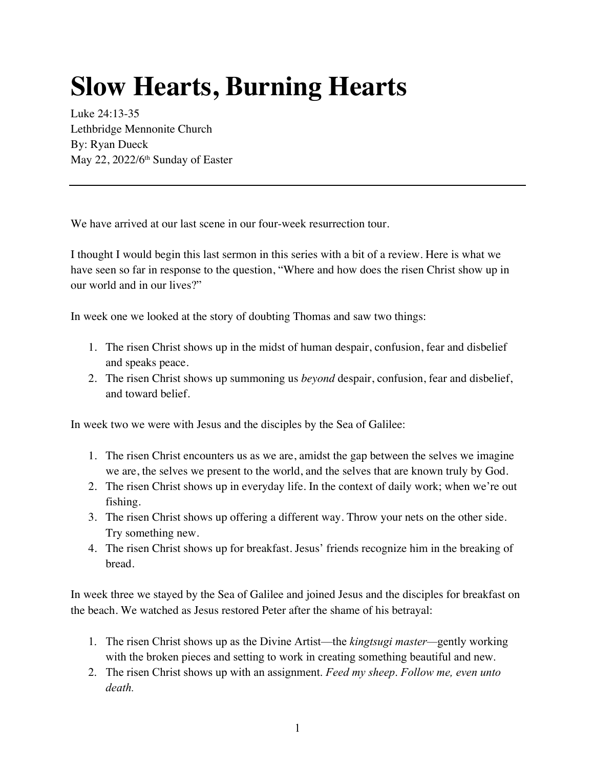## **Slow Hearts, Burning Hearts**

Luke 24:13-35 Lethbridge Mennonite Church By: Ryan Dueck May 22, 2022/6<sup>th</sup> Sunday of Easter

We have arrived at our last scene in our four-week resurrection tour.

I thought I would begin this last sermon in this series with a bit of a review. Here is what we have seen so far in response to the question, "Where and how does the risen Christ show up in our world and in our lives?"

In week one we looked at the story of doubting Thomas and saw two things:

- 1. The risen Christ shows up in the midst of human despair, confusion, fear and disbelief and speaks peace.
- 2. The risen Christ shows up summoning us *beyond* despair, confusion, fear and disbelief, and toward belief.

In week two we were with Jesus and the disciples by the Sea of Galilee:

- 1. The risen Christ encounters us as we are, amidst the gap between the selves we imagine we are, the selves we present to the world, and the selves that are known truly by God.
- 2. The risen Christ shows up in everyday life. In the context of daily work; when we're out fishing.
- 3. The risen Christ shows up offering a different way. Throw your nets on the other side. Try something new.
- 4. The risen Christ shows up for breakfast. Jesus' friends recognize him in the breaking of bread.

In week three we stayed by the Sea of Galilee and joined Jesus and the disciples for breakfast on the beach. We watched as Jesus restored Peter after the shame of his betrayal:

- 1. The risen Christ shows up as the Divine Artist—the *kingtsugi master—*gently working with the broken pieces and setting to work in creating something beautiful and new.
- 2. The risen Christ shows up with an assignment. *Feed my sheep*. *Follow me, even unto death.*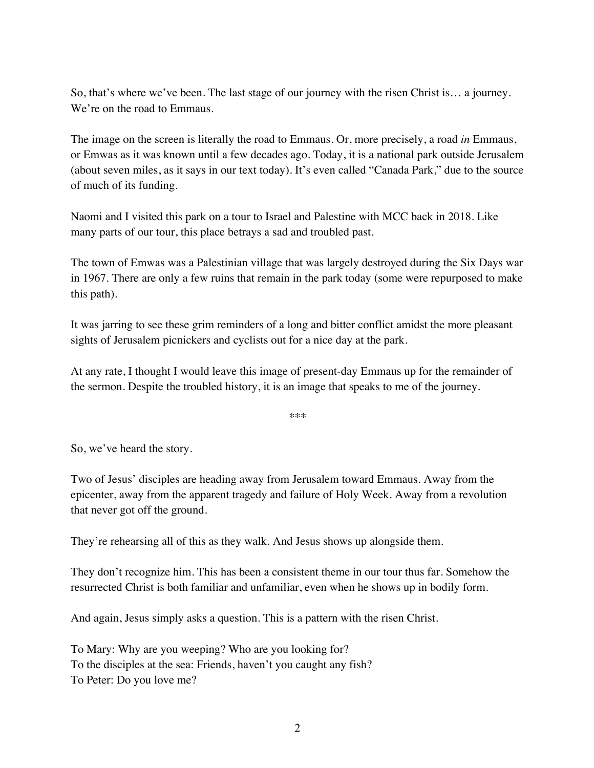So, that's where we've been. The last stage of our journey with the risen Christ is… a journey. We're on the road to Emmaus.

The image on the screen is literally the road to Emmaus. Or, more precisely, a road *in* Emmaus, or Emwas as it was known until a few decades ago. Today, it is a national park outside Jerusalem (about seven miles, as it says in our text today). It's even called "Canada Park," due to the source of much of its funding.

Naomi and I visited this park on a tour to Israel and Palestine with MCC back in 2018. Like many parts of our tour, this place betrays a sad and troubled past.

The town of Emwas was a Palestinian village that was largely destroyed during the Six Days war in 1967. There are only a few ruins that remain in the park today (some were repurposed to make this path).

It was jarring to see these grim reminders of a long and bitter conflict amidst the more pleasant sights of Jerusalem picnickers and cyclists out for a nice day at the park.

At any rate, I thought I would leave this image of present-day Emmaus up for the remainder of the sermon. Despite the troubled history, it is an image that speaks to me of the journey.

\*\*\*

So, we've heard the story.

Two of Jesus' disciples are heading away from Jerusalem toward Emmaus. Away from the epicenter, away from the apparent tragedy and failure of Holy Week. Away from a revolution that never got off the ground.

They're rehearsing all of this as they walk. And Jesus shows up alongside them.

They don't recognize him. This has been a consistent theme in our tour thus far. Somehow the resurrected Christ is both familiar and unfamiliar, even when he shows up in bodily form.

And again, Jesus simply asks a question. This is a pattern with the risen Christ.

To Mary: Why are you weeping? Who are you looking for? To the disciples at the sea: Friends, haven't you caught any fish? To Peter: Do you love me?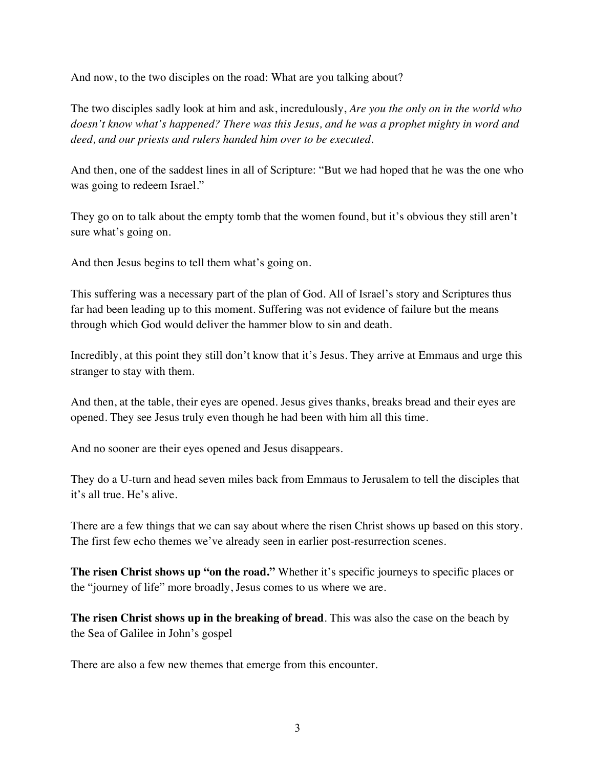And now, to the two disciples on the road: What are you talking about?

The two disciples sadly look at him and ask, incredulously, *Are you the only on in the world who doesn't know what's happened? There was this Jesus, and he was a prophet mighty in word and deed, and our priests and rulers handed him over to be executed.*

And then, one of the saddest lines in all of Scripture: "But we had hoped that he was the one who was going to redeem Israel."

They go on to talk about the empty tomb that the women found, but it's obvious they still aren't sure what's going on.

And then Jesus begins to tell them what's going on.

This suffering was a necessary part of the plan of God. All of Israel's story and Scriptures thus far had been leading up to this moment. Suffering was not evidence of failure but the means through which God would deliver the hammer blow to sin and death.

Incredibly, at this point they still don't know that it's Jesus. They arrive at Emmaus and urge this stranger to stay with them.

And then, at the table, their eyes are opened. Jesus gives thanks, breaks bread and their eyes are opened. They see Jesus truly even though he had been with him all this time.

And no sooner are their eyes opened and Jesus disappears.

They do a U-turn and head seven miles back from Emmaus to Jerusalem to tell the disciples that it's all true. He's alive.

There are a few things that we can say about where the risen Christ shows up based on this story. The first few echo themes we've already seen in earlier post-resurrection scenes.

**The risen Christ shows up "on the road."** Whether it's specific journeys to specific places or the "journey of life" more broadly, Jesus comes to us where we are.

**The risen Christ shows up in the breaking of bread**. This was also the case on the beach by the Sea of Galilee in John's gospel

There are also a few new themes that emerge from this encounter.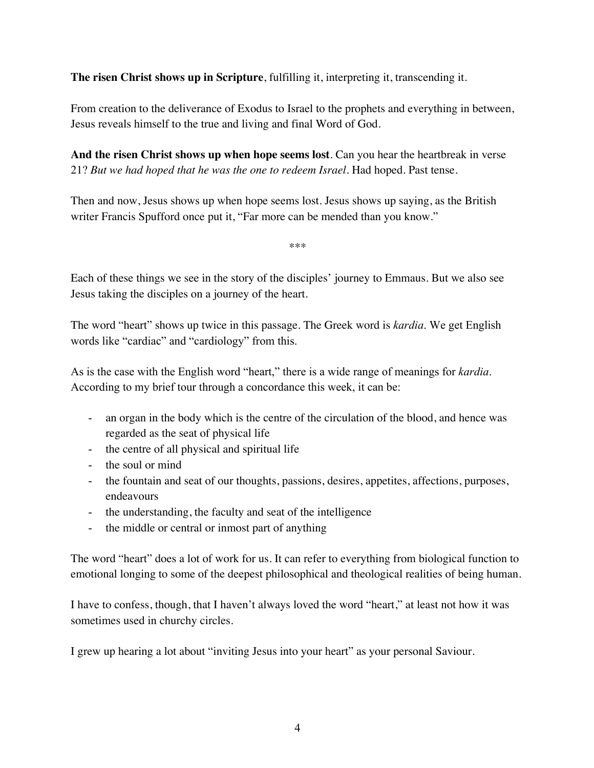**The risen Christ shows up in Scripture**, fulfilling it, interpreting it, transcending it.

From creation to the deliverance of Exodus to Israel to the prophets and everything in between, Jesus reveals himself to the true and living and final Word of God.

**And the risen Christ shows up when hope seems lost**. Can you hear the heartbreak in verse 21? *But we had hoped that he was the one to redeem Israel*. Had hoped. Past tense.

Then and now, Jesus shows up when hope seems lost. Jesus shows up saying, as the British writer Francis Spufford once put it, "Far more can be mended than you know."

\*\*\*

Each of these things we see in the story of the disciples' journey to Emmaus. But we also see Jesus taking the disciples on a journey of the heart.

The word "heart" shows up twice in this passage. The Greek word is *kardia*. We get English words like "cardiac" and "cardiology" from this.

As is the case with the English word "heart," there is a wide range of meanings for *kardia*. According to my brief tour through a concordance this week, it can be:

- an organ in the body which is the centre of the circulation of the blood, and hence was regarded as the seat of physical life
- the centre of all physical and spiritual life
- the soul or mind
- the fountain and seat of our thoughts, passions, desires, appetites, affections, purposes, endeavours
- the understanding, the faculty and seat of the intelligence
- the middle or central or inmost part of anything

The word "heart" does a lot of work for us. It can refer to everything from biological function to emotional longing to some of the deepest philosophical and theological realities of being human.

I have to confess, though, that I haven't always loved the word "heart," at least not how it was sometimes used in churchy circles.

I grew up hearing a lot about "inviting Jesus into your heart" as your personal Saviour.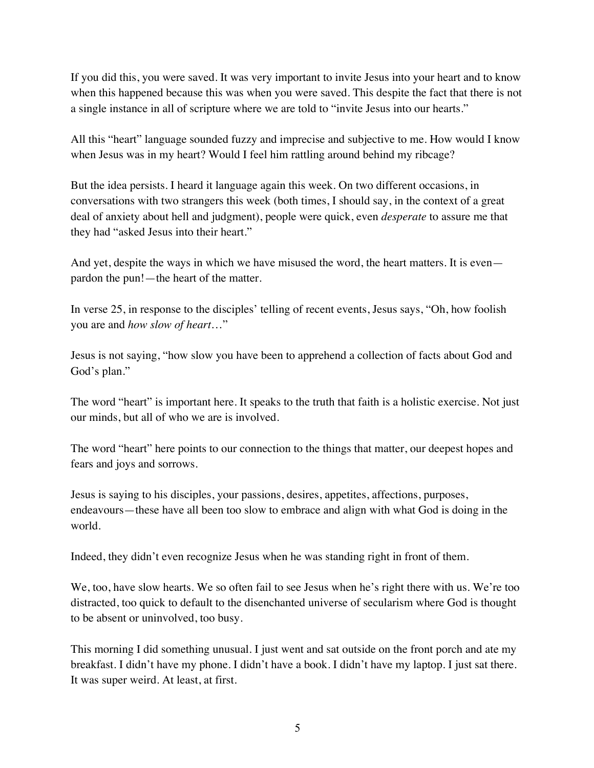If you did this, you were saved. It was very important to invite Jesus into your heart and to know when this happened because this was when you were saved. This despite the fact that there is not a single instance in all of scripture where we are told to "invite Jesus into our hearts."

All this "heart" language sounded fuzzy and imprecise and subjective to me. How would I know when Jesus was in my heart? Would I feel him rattling around behind my ribcage?

But the idea persists. I heard it language again this week. On two different occasions, in conversations with two strangers this week (both times, I should say, in the context of a great deal of anxiety about hell and judgment), people were quick, even *desperate* to assure me that they had "asked Jesus into their heart."

And yet, despite the ways in which we have misused the word, the heart matters. It is even pardon the pun!—the heart of the matter.

In verse 25, in response to the disciples' telling of recent events, Jesus says, "Oh, how foolish you are and *how slow of heart*…"

Jesus is not saying, "how slow you have been to apprehend a collection of facts about God and God's plan."

The word "heart" is important here. It speaks to the truth that faith is a holistic exercise. Not just our minds, but all of who we are is involved.

The word "heart" here points to our connection to the things that matter, our deepest hopes and fears and joys and sorrows.

Jesus is saying to his disciples, your passions, desires, appetites, affections, purposes, endeavours—these have all been too slow to embrace and align with what God is doing in the world.

Indeed, they didn't even recognize Jesus when he was standing right in front of them.

We, too, have slow hearts. We so often fail to see Jesus when he's right there with us. We're too distracted, too quick to default to the disenchanted universe of secularism where God is thought to be absent or uninvolved, too busy.

This morning I did something unusual. I just went and sat outside on the front porch and ate my breakfast. I didn't have my phone. I didn't have a book. I didn't have my laptop. I just sat there. It was super weird. At least, at first.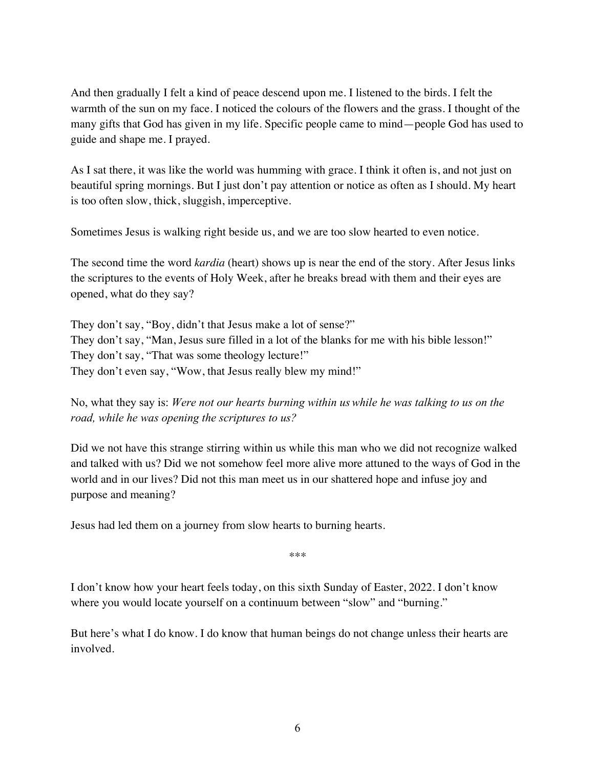And then gradually I felt a kind of peace descend upon me. I listened to the birds. I felt the warmth of the sun on my face. I noticed the colours of the flowers and the grass. I thought of the many gifts that God has given in my life. Specific people came to mind—people God has used to guide and shape me. I prayed.

As I sat there, it was like the world was humming with grace. I think it often is, and not just on beautiful spring mornings. But I just don't pay attention or notice as often as I should. My heart is too often slow, thick, sluggish, imperceptive.

Sometimes Jesus is walking right beside us, and we are too slow hearted to even notice.

The second time the word *kardia* (heart) shows up is near the end of the story. After Jesus links the scriptures to the events of Holy Week, after he breaks bread with them and their eyes are opened, what do they say?

They don't say, "Boy, didn't that Jesus make a lot of sense?" They don't say, "Man, Jesus sure filled in a lot of the blanks for me with his bible lesson!" They don't say, "That was some theology lecture!" They don't even say, "Wow, that Jesus really blew my mind!"

No, what they say is: *Were not our hearts burning within us while he was talking to us on the road, while he was opening the scriptures to us?*

Did we not have this strange stirring within us while this man who we did not recognize walked and talked with us? Did we not somehow feel more alive more attuned to the ways of God in the world and in our lives? Did not this man meet us in our shattered hope and infuse joy and purpose and meaning?

Jesus had led them on a journey from slow hearts to burning hearts.

\*\*\*

I don't know how your heart feels today, on this sixth Sunday of Easter, 2022. I don't know where you would locate yourself on a continuum between "slow" and "burning."

But here's what I do know. I do know that human beings do not change unless their hearts are involved.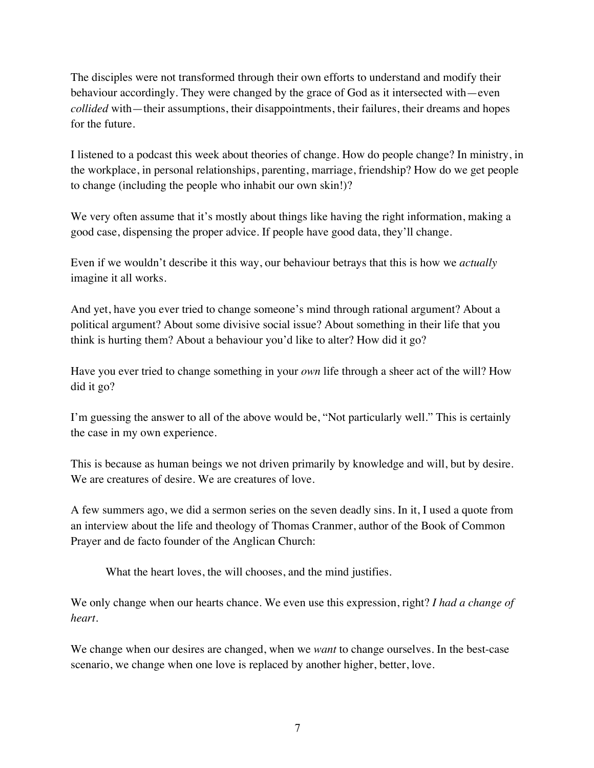The disciples were not transformed through their own efforts to understand and modify their behaviour accordingly. They were changed by the grace of God as it intersected with—even *collided* with—their assumptions, their disappointments, their failures, their dreams and hopes for the future.

I listened to a podcast this week about theories of change. How do people change? In ministry, in the workplace, in personal relationships, parenting, marriage, friendship? How do we get people to change (including the people who inhabit our own skin!)?

We very often assume that it's mostly about things like having the right information, making a good case, dispensing the proper advice. If people have good data, they'll change.

Even if we wouldn't describe it this way, our behaviour betrays that this is how we *actually* imagine it all works.

And yet, have you ever tried to change someone's mind through rational argument? About a political argument? About some divisive social issue? About something in their life that you think is hurting them? About a behaviour you'd like to alter? How did it go?

Have you ever tried to change something in your *own* life through a sheer act of the will? How did it go?

I'm guessing the answer to all of the above would be, "Not particularly well." This is certainly the case in my own experience.

This is because as human beings we not driven primarily by knowledge and will, but by desire. We are creatures of desire. We are creatures of love.

A few summers ago, we did a sermon series on the seven deadly sins. In it, I used a quote from an interview about the life and theology of Thomas Cranmer, author of the Book of Common Prayer and de facto founder of the Anglican Church:

What the heart loves, the will chooses, and the mind justifies.

We only change when our hearts chance. We even use this expression, right? *I had a change of heart*.

We change when our desires are changed, when we *want* to change ourselves. In the best-case scenario, we change when one love is replaced by another higher, better, love.